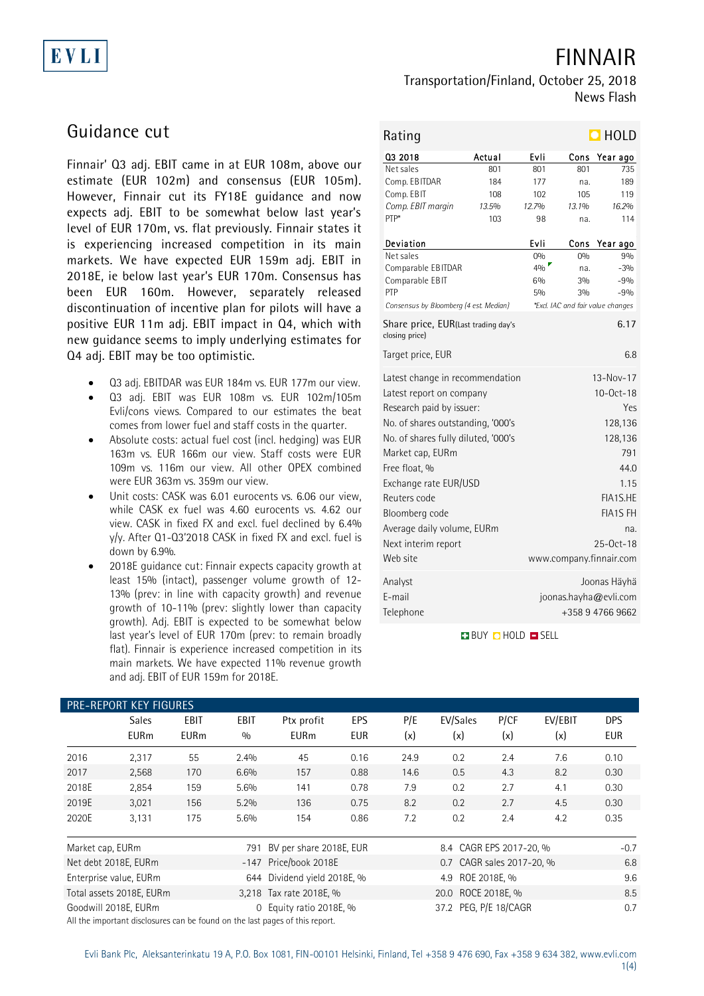# EVLI

FINNAIR

News Flash

## Guidance cut

Finnair' Q3 adj. EBIT came in at EUR 108m, above our estimate (EUR 102m) and consensus (EUR 105m). However, Finnair cut its FY18E guidance and now expects adj. EBIT to be somewhat below last year's level of EUR 170m, vs. flat previously. Finnair states it is experiencing increased competition in its main markets. We have expected EUR 159m adj. EBIT in 2018E, ie below last year's EUR 170m. Consensus has been EUR 160m. However, separately released discontinuation of incentive plan for pilots will have a positive EUR 11m adj. EBIT impact in Q4, which with new guidance seems to imply underlying estimates for Q4 adj. EBIT may be too optimistic.

- Q3 adj. EBITDAR was EUR 184m vs. EUR 177m our view.
- Q3 adj. EBIT was EUR 108m vs. EUR 102m/105m Evli/cons views. Compared to our estimates the beat comes from lower fuel and staff costs in the quarter.
- Absolute costs: actual fuel cost (incl. hedging) was EUR 163m vs. EUR 166m our view. Staff costs were EUR 109m vs. 116m our view. All other OPEX combined were EUR 363m vs. 359m our view.
- Unit costs: CASK was 6.01 eurocents vs. 6.06 our view, while CASK ex fuel was 4.60 eurocents vs. 4.62 our view. CASK in fixed FX and excl. fuel declined by 6.4% y/y. After Q1-Q3'2018 CASK in fixed FX and excl. fuel is down by 6.9%.
- 2018E guidance cut: Finnair expects capacity growth at least 15% (intact), passenger volume growth of 12- 13% (prev: in line with capacity growth) and revenue growth of 10-11% (prev: slightly lower than capacity growth). Adj. EBIT is expected to be somewhat below last year's level of EUR 170m (prev: to remain broadly flat). Finnair is experience increased competition in its main markets. We have expected 11% revenue growth and adj. EBIT of EUR 159m for 2018E.

| Rating                                                |        |       |       | $\blacksquare$ HOLD               |  |  |
|-------------------------------------------------------|--------|-------|-------|-----------------------------------|--|--|
| 03 2018                                               | Actual | Evli  | Cons  | Year ago                          |  |  |
| Net sales                                             | 801    | 801   | 801   | 735                               |  |  |
| Comp. EBITDAR                                         | 184    | 177   | na.   | 189                               |  |  |
| Comp. EBIT                                            | 108    | 102   | 105   | 119                               |  |  |
| Comp. EBIT margin                                     | 13.5%  | 12.7% | 13.1% | 16.2%                             |  |  |
| PTP*                                                  | 103    | 98    | na.   | 114                               |  |  |
| Deviation                                             |        | Evli  | Cons  | Year ago                          |  |  |
| Net sales                                             |        | 0%    | 0%    | 9%                                |  |  |
| Comparable EBITDAR                                    |        | 4%    | na.   | $-3%$                             |  |  |
| Comparable EBIT                                       |        | 6%    | 3%    | $-9%$                             |  |  |
| PTP                                                   |        | 5%    | 3%    | $-9%$                             |  |  |
| Consensus by Bloomberg (4 est. Median)                |        |       |       | *Excl. IAC and fair value changes |  |  |
| Share price, EUR(Last trading day's<br>closing price) |        |       |       | 6.17                              |  |  |
| Target price, EUR                                     |        |       |       | 6.8                               |  |  |
| Latest change in recommendation                       |        |       |       | 13-Nov-17                         |  |  |
| Latest report on company                              |        |       |       | $10 - Oct - 18$                   |  |  |
| Research paid by issuer:                              | Yes    |       |       |                                   |  |  |
| No. of shares outstanding, '000's                     |        |       |       | 128,136                           |  |  |
| No. of shares fully diluted, '000's                   |        |       |       | 128,136                           |  |  |
| Market cap, EURm                                      |        |       |       | 791                               |  |  |
| Free float, %                                         |        |       |       | 44.0                              |  |  |
| Exchange rate EUR/USD                                 |        |       |       | 1.15                              |  |  |
| Reuters code                                          |        |       |       | FIA1S.HE                          |  |  |
|                                                       |        |       |       |                                   |  |  |
| Bloomberg code                                        |        |       |       | <b>FIA1S FH</b>                   |  |  |
| Average daily volume, EURm                            |        |       |       | na.                               |  |  |
| Next interim report                                   |        |       |       | 25-0ct-18                         |  |  |
| Web site                                              |        |       |       | www.company.finnair.com           |  |  |
| Analyst                                               |        |       |       | Joonas Häyhä                      |  |  |
| E-mail                                                |        |       |       | joonas.hayha@evli.com             |  |  |
| Telephone                                             |        |       |       | +358 9 4766 9662                  |  |  |
|                                                       |        |       |       |                                   |  |  |

Transportation/Finland, October 25, 2018

**BUY DHOLD DISELL** 

| PRE-REPORT KEY FIGURES |                             |                     |                    |                                                                                                        |                   |            |                           |             |                |                          |
|------------------------|-----------------------------|---------------------|--------------------|--------------------------------------------------------------------------------------------------------|-------------------|------------|---------------------------|-------------|----------------|--------------------------|
|                        | <b>Sales</b><br><b>EURm</b> | EBIT<br><b>EURm</b> | <b>EBIT</b><br>0/0 | Ptx profit<br><b>EURm</b>                                                                              | EPS<br><b>EUR</b> | P/E<br>(x) | EV/Sales<br>(x)           | P/CF<br>(x) | EV/EBIT<br>(x) | <b>DPS</b><br><b>EUR</b> |
| 2016                   | 2,317                       | 55                  | 2.4%               | 45                                                                                                     | 0.16              | 24.9       | 0.2                       | 2.4         | 7.6            | 0.10                     |
| 2017                   | 2,568                       | 170                 | 6.6%               | 157                                                                                                    | 0.88              | 14.6       | 0.5                       | 4.3         | 8.2            | 0.30                     |
| 2018E                  | 2,854                       | 159                 | 5.6%               | 141                                                                                                    | 0.78              | 7.9        | 0.2                       | 2.7         | 4.1            | 0.30                     |
| 2019E                  | 3,021                       | 156                 | 5.2%               | 136                                                                                                    | 0.75              | 8.2        | 0.2                       | 2.7         | 4.5            | 0.30                     |
| 2020E                  | 3,131                       | 175                 | 5.6%               | 154                                                                                                    | 0.86              | 7.2        | 0.2                       | 2.4         | 4.2            | 0.35                     |
| Market cap, EURm       |                             |                     | 791                | BV per share 2018E, EUR                                                                                |                   |            | 8.4 CAGR EPS 2017-20, %   |             |                | $-0.7$                   |
|                        | Net debt 2018E, EURm        |                     |                    | -147 Price/book 2018E                                                                                  |                   |            | 0.7 CAGR sales 2017-20, % |             |                | 6.8                      |
|                        | Enterprise value, EURm      |                     |                    | 644 Dividend yield 2018E, %                                                                            |                   |            | 4.9 ROE 2018E, %          |             |                | 9.6                      |
|                        | Total assets 2018E, EURm    |                     |                    | 3,218 Tax rate 2018E, %                                                                                |                   |            | 20.0 ROCE 2018E, %        |             |                | 8.5                      |
|                        | Goodwill 2018E, EURm        |                     |                    | 0 Equity ratio 2018E, %<br>All the important dicologures can be found on the lest peace of this report |                   |            | 37.2 PEG, P/E 18/CAGR     |             |                | 0.7                      |

All the important disclosures can be found on the last pages of this report.

### 1(4)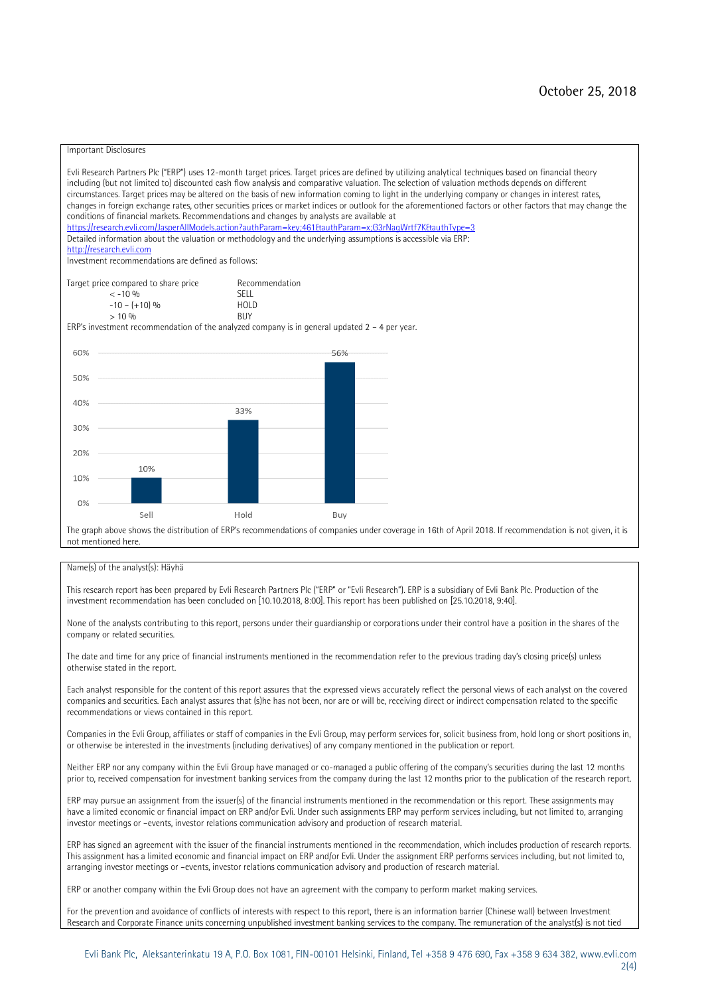#### Important Disclosures

Evli Research Partners Plc ("ERP") uses 12-month target prices. Target prices are defined by utilizing analytical techniques based on financial theory including (but not limited to) discounted cash flow analysis and comparative valuation. The selection of valuation methods depends on different circumstances. Target prices may be altered on the basis of new information coming to light in the underlying company or changes in interest rates, changes in foreign exchange rates, other securities prices or market indices or outlook for the aforementioned factors or other factors that may change the conditions of financial markets. Recommendations and changes by analysts are available at https://research.evli.com/JasperAllModels.action?authParam=key;461&tauthParam=x;G3rNagWrtf7K&tauthType=3 Detailed information about the valuation or methodology and the underlying assumptions is accessible via ERP: [http://research.evli.com](http://research.evli.com/) Investment recommendations are defined as follows: Target price compared to share price Recommendation<br>  $\leq -10\%$ < -10 % SELL  $-10 - (+10) \%$  HOL<br> $> 10 \%$  RIIY  $> 10\%$ ERP's investment recommendation of the analyzed company is in general updated 2 – 4 per year. 60% 56% 50%  $40%$  $33%$ 30% 20% 10% 10%  $0%$ Hold Sell Buy The graph above shows the distribution of ERP's recommendations of companies under coverage in 16th of April 2018. If recommendation is not given, it is not mentioned here.

#### Name(s) of the analyst(s): Häyhä

This research report has been prepared by Evli Research Partners Plc ("ERP" or "Evli Research"). ERP is a subsidiary of Evli Bank Plc. Production of the investment recommendation has been concluded on [10.10.2018, 8:00]. This report has been published on [25.10.2018, 9:40].

None of the analysts contributing to this report, persons under their guardianship or corporations under their control have a position in the shares of the company or related securities.

The date and time for any price of financial instruments mentioned in the recommendation refer to the previous trading day's closing price(s) unless otherwise stated in the report.

Each analyst responsible for the content of this report assures that the expressed views accurately reflect the personal views of each analyst on the covered companies and securities. Each analyst assures that (s)he has not been, nor are or will be, receiving direct or indirect compensation related to the specific recommendations or views contained in this report.

Companies in the Evli Group, affiliates or staff of companies in the Evli Group, may perform services for, solicit business from, hold long or short positions in, or otherwise be interested in the investments (including derivatives) of any company mentioned in the publication or report.

Neither ERP nor any company within the Evli Group have managed or co-managed a public offering of the company's securities during the last 12 months prior to, received compensation for investment banking services from the company during the last 12 months prior to the publication of the research report.

ERP may pursue an assignment from the issuer(s) of the financial instruments mentioned in the recommendation or this report. These assignments may have a limited economic or financial impact on ERP and/or Evli. Under such assignments ERP may perform services including, but not limited to, arranging investor meetings or –events, investor relations communication advisory and production of research material.

ERP has signed an agreement with the issuer of the financial instruments mentioned in the recommendation, which includes production of research reports. This assignment has a limited economic and financial impact on ERP and/or Evli. Under the assignment ERP performs services including, but not limited to, arranging investor meetings or –events, investor relations communication advisory and production of research material.

ERP or another company within the Evli Group does not have an agreement with the company to perform market making services.

For the prevention and avoidance of conflicts of interests with respect to this report, there is an information barrier (Chinese wall) between Investment Research and Corporate Finance units concerning unpublished investment banking services to the company. The remuneration of the analyst(s) is not tied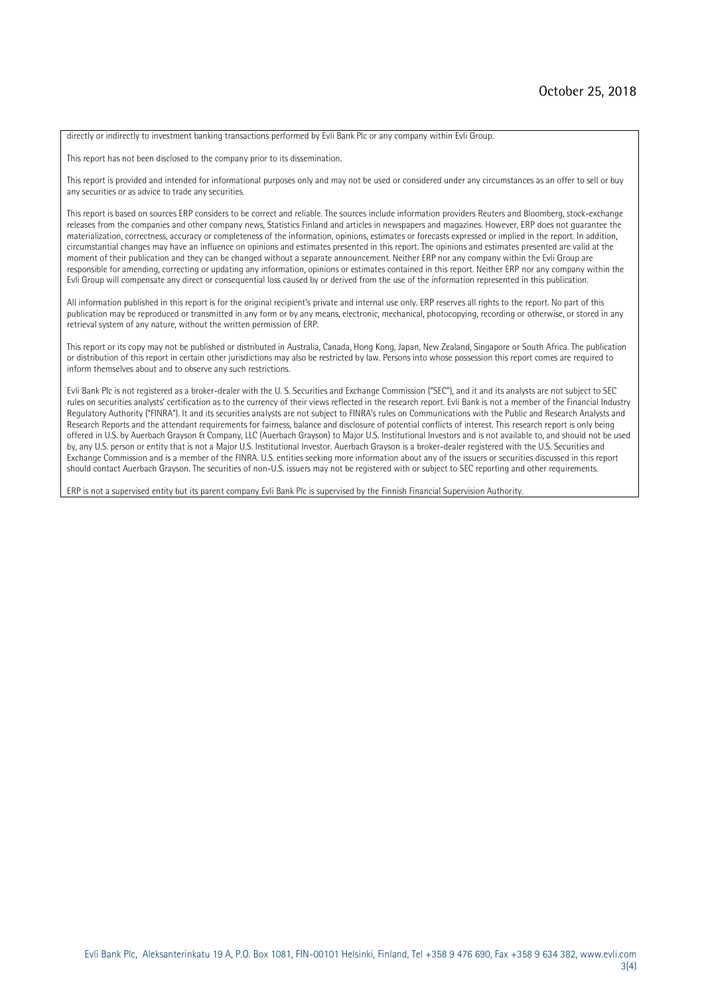directly or indirectly to investment banking transactions performed by Evli Bank Plc or any company within Evli Group.

This report has not been disclosed to the company prior to its dissemination.

This report is provided and intended for informational purposes only and may not be used or considered under any circumstances as an offer to sell or buy any securities or as advice to trade any securities.

This report is based on sources ERP considers to be correct and reliable. The sources include information providers Reuters and Bloomberg, stock-exchange releases from the companies and other company news, Statistics Finland and articles in newspapers and magazines. However, ERP does not guarantee the materialization, correctness, accuracy or completeness of the information, opinions, estimates or forecasts expressed or implied in the report. In addition, circumstantial changes may have an influence on opinions and estimates presented in this report. The opinions and estimates presented are valid at the moment of their publication and they can be changed without a separate announcement. Neither ERP nor any company within the Evli Group are responsible for amending, correcting or updating any information, opinions or estimates contained in this report. Neither ERP nor any company within the Evli Group will compensate any direct or consequential loss caused by or derived from the use of the information represented in this publication.

All information published in this report is for the original recipient's private and internal use only. ERP reserves all rights to the report. No part of this publication may be reproduced or transmitted in any form or by any means, electronic, mechanical, photocopying, recording or otherwise, or stored in any retrieval system of any nature, without the written permission of ERP.

This report or its copy may not be published or distributed in Australia, Canada, Hong Kong, Japan, New Zealand, Singapore or South Africa. The publication or distribution of this report in certain other jurisdictions may also be restricted by law. Persons into whose possession this report comes are required to inform themselves about and to observe any such restrictions.

Evli Bank Plc is not registered as a broker-dealer with the U. S. Securities and Exchange Commission ("SEC"), and it and its analysts are not subject to SEC rules on securities analysts' certification as to the currency of their views reflected in the research report. Evli Bank is not a member of the Financial Industry Regulatory Authority ("FINRA"). It and its securities analysts are not subject to FINRA's rules on Communications with the Public and Research Analysts and Research Reports and the attendant requirements for fairness, balance and disclosure of potential conflicts of interest. This research report is only being offered in U.S. by Auerbach Grayson & Company, LLC (Auerbach Grayson) to Major U.S. Institutional Investors and is not available to, and should not be used by, any U.S. person or entity that is not a Major U.S. Institutional Investor. Auerbach Grayson is a broker-dealer registered with the U.S. Securities and Exchange Commission and is a member of the FINRA. U.S. entities seeking more information about any of the issuers or securities discussed in this report should contact Auerbach Grayson. The securities of non-U.S. issuers may not be registered with or subject to SEC reporting and other requirements.

ERP is not a supervised entity but its parent company Evli Bank Plc is supervised by the Finnish Financial Supervision Authority.